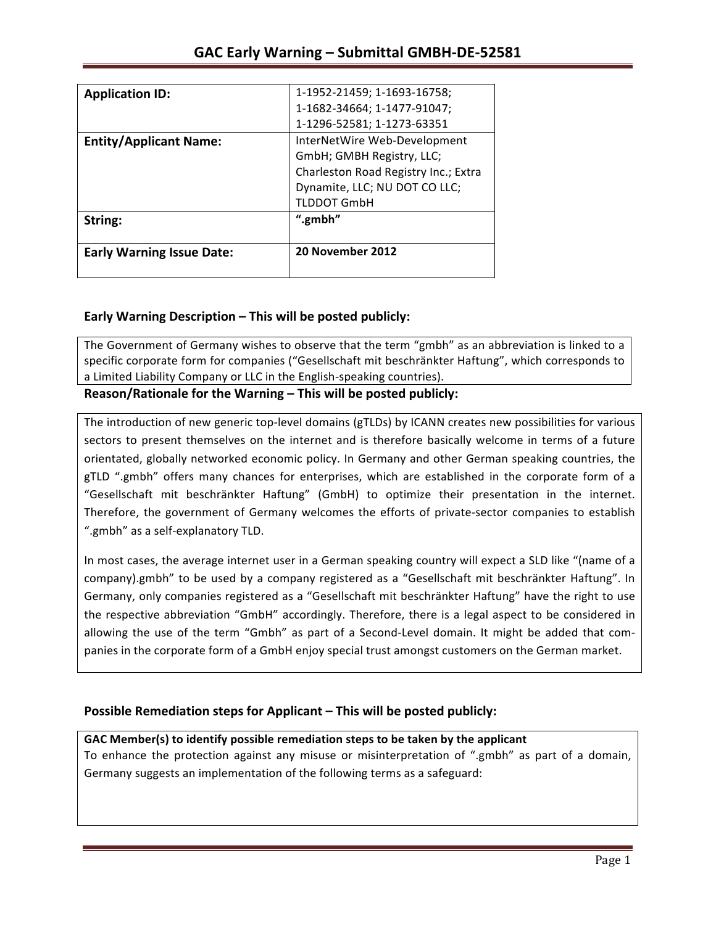| <b>Application ID:</b>           | 1-1952-21459; 1-1693-16758;          |
|----------------------------------|--------------------------------------|
|                                  | 1-1682-34664; 1-1477-91047;          |
|                                  | 1-1296-52581; 1-1273-63351           |
| <b>Entity/Applicant Name:</b>    | InterNetWire Web-Development         |
|                                  | GmbH; GMBH Registry, LLC;            |
|                                  | Charleston Road Registry Inc.; Extra |
|                                  | Dynamite, LLC; NU DOT CO LLC;        |
|                                  | <b>TLDDOT GmbH</b>                   |
| String:                          | ".gmbh"                              |
| <b>Early Warning Issue Date:</b> | 20 November 2012                     |

## **Early Warning Description – This will be posted publicly:**

The Government of Germany wishes to observe that the term "gmbh" as an abbreviation is linked to a specific corporate form for companies ("Gesellschaft mit beschränkter Haftung", which corresponds to a Limited Liability Company or LLC in the English-speaking countries).

Reason/Rationale for the Warning – This will be posted publicly:

The introduction of new generic top-level domains (gTLDs) by ICANN creates new possibilities for various sectors to present themselves on the internet and is therefore basically welcome in terms of a future orientated, globally networked economic policy. In Germany and other German speaking countries, the gTLD ".gmbh" offers many chances for enterprises, which are established in the corporate form of a "Gesellschaft mit beschränkter Haftung" (GmbH) to optimize their presentation in the internet. Therefore, the government of Germany welcomes the efforts of private-sector companies to establish ".gmbh" as a self-explanatory TLD.

In most cases, the average internet user in a German speaking country will expect a SLD like "(name of a company).gmbh" to be used by a company registered as a "Gesellschaft mit beschränkter Haftung". In Germany, only companies registered as a "Gesellschaft mit beschränkter Haftung" have the right to use the respective abbreviation "GmbH" accordingly. Therefore, there is a legal aspect to be considered in allowing the use of the term "Gmbh" as part of a Second-Level domain. It might be added that companies in the corporate form of a GmbH enjoy special trust amongst customers on the German market.

### **Possible Remediation steps for Applicant – This will be posted publicly:**

### GAC Member(s) to identify possible remediation steps to be taken by the applicant

To enhance the protection against any misuse or misinterpretation of ".gmbh" as part of a domain, Germany suggests an implementation of the following terms as a safeguard: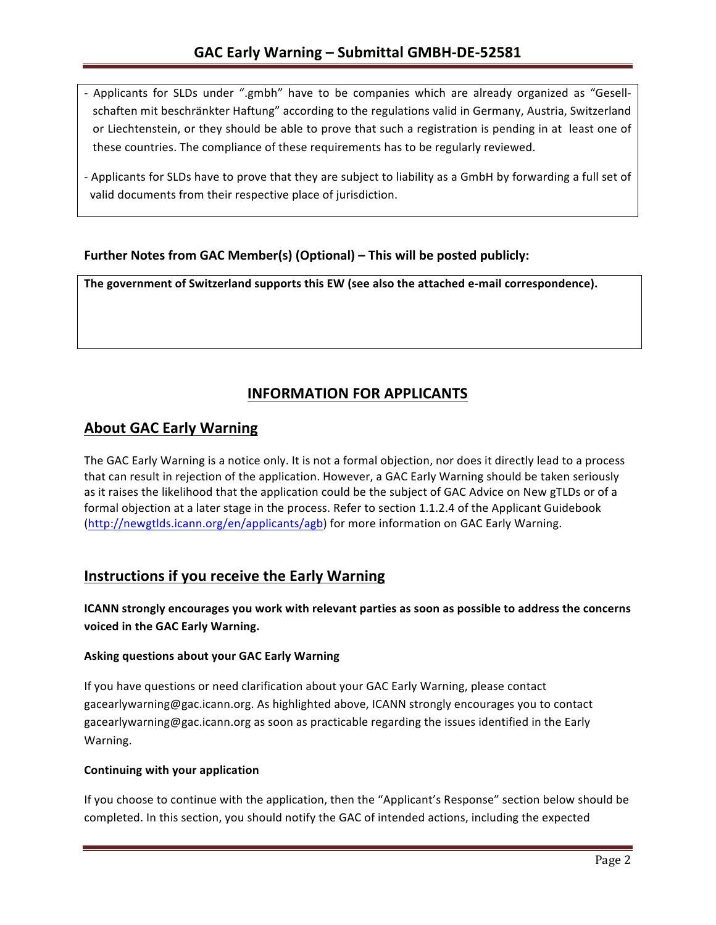- Applicants for SLDs under ".gmbh" have to be companies which are already organized as "Gesellschaften mit beschränkter Haftung" according to the regulations valid in Germany, Austria, Switzerland or Liechtenstein, or they should be able to prove that such a registration is pending in at least one of these countries. The compliance of these requirements has to be regularly reviewed.
- Applicants for SLDs have to prove that they are subject to liability as a GmbH by forwarding a full set of valid documents from their respective place of jurisdiction.

## **Further Notes from GAC Member(s) (Optional)** – This will be posted publicly:

The government of Switzerland supports this EW (see also the attached e-mail correspondence).

# **INFORMATION FOR APPLICANTS**

## **About GAC Early Warning**

The GAC Early Warning is a notice only. It is not a formal objection, nor does it directly lead to a process that can result in rejection of the application. However, a GAC Early Warning should be taken seriously as it raises the likelihood that the application could be the subject of GAC Advice on New gTLDs or of a formal objection at a later stage in the process. Refer to section 1.1.2.4 of the Applicant Guidebook (http://newgtlds.icann.org/en/applicants/agb) for more information on GAC Early Warning.

## **Instructions if you receive the Early Warning**

**ICANN** strongly encourages you work with relevant parties as soon as possible to address the concerns voiced in the GAC Early Warning.

### **Asking questions about your GAC Early Warning**

If you have questions or need clarification about your GAC Early Warning, please contact gacearlywarning@gac.icann.org. As highlighted above, ICANN strongly encourages you to contact gacearlywarning@gac.icann.org as soon as practicable regarding the issues identified in the Early Warning. 

### **Continuing with your application**

If you choose to continue with the application, then the "Applicant's Response" section below should be completed. In this section, you should notify the GAC of intended actions, including the expected